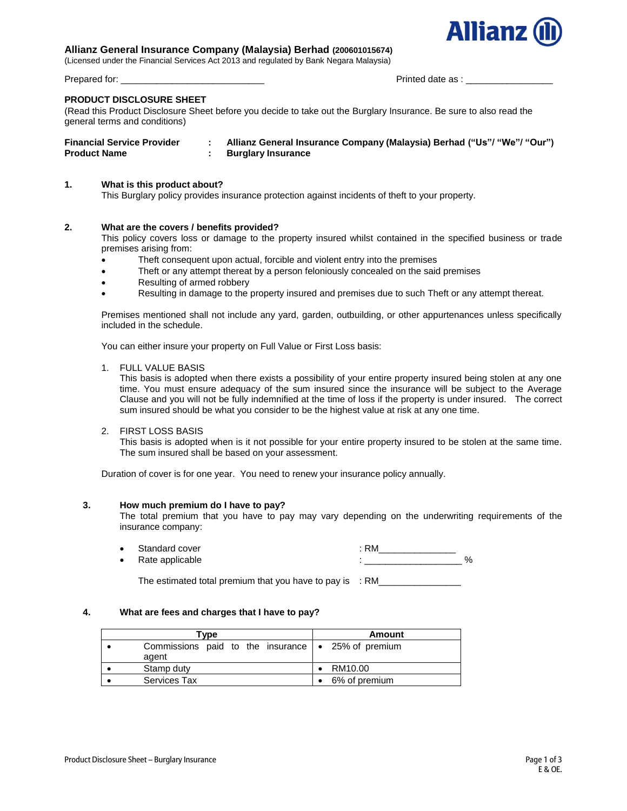# **Allianz General Insurance Company (Malaysia) Berhad (200601015674)**

(Licensed under the Financial Services Act 2013 and regulated by Bank Negara Malaysia)

#### **PRODUCT DISCLOSURE SHEET**

(Read this Product Disclosure Sheet before you decide to take out the Burglary Insurance. Be sure to also read the general terms and conditions)

| <b>Financial Service Provider</b> | Allianz General Insurance Company (Malaysia) Berhad ("Us"/ "We"/ "Our") |
|-----------------------------------|-------------------------------------------------------------------------|
| <b>Product Name</b>               | <b>Burglary Insurance</b>                                               |

### **1. What is this product about?**

This Burglary policy provides insurance protection against incidents of theft to your property.

#### **2. What are the covers / benefits provided?**

This policy covers loss or damage to the property insured whilst contained in the specified business or trade premises arising from:

- Theft consequent upon actual, forcible and violent entry into the premises
- Theft or any attempt thereat by a person feloniously concealed on the said premises
- Resulting of armed robbery
- Resulting in damage to the property insured and premises due to such Theft or any attempt thereat.

Premises mentioned shall not include any yard, garden, outbuilding, or other appurtenances unless specifically included in the schedule.

You can either insure your property on Full Value or First Loss basis:

1. FULL VALUE BASIS

This basis is adopted when there exists a possibility of your entire property insured being stolen at any one time. You must ensure adequacy of the sum insured since the insurance will be subject to the Average Clause and you will not be fully indemnified at the time of loss if the property is under insured. The correct sum insured should be what you consider to be the highest value at risk at any one time.

#### 2. FIRST LOSS BASIS

This basis is adopted when is it not possible for your entire property insured to be stolen at the same time. The sum insured shall be based on your assessment.

Duration of cover is for one year. You need to renew your insurance policy annually.

#### **3. How much premium do I have to pay?**

The total premium that you have to pay may vary depending on the underwriting requirements of the insurance company:

Standard cover in the standard cover in the standard cover in the standard cover in the standard cover in the standard cover in the standard cover in the standard cover in the standard cover in the standard cover in the st And the applicable the contract of the contract of the contract of the contract of the contract of the contract of the contract of the contract of the contract of the contract of the contract of the contract of the contrac

**4. What are fees and charges that I have to pay?**

The estimated total premium that you have to pay is  $: RM$  .

| Tvpe                                                             | Amount        |
|------------------------------------------------------------------|---------------|
| Commissions paid to the insurance $\sim$ 25% of premium<br>agent |               |
| Stamp duty                                                       | RM10.00       |
| Services Tax                                                     | 6% of premium |



Prepared for: \_\_\_\_\_\_\_\_\_\_\_\_\_\_\_\_\_\_\_\_\_\_\_\_\_\_\_\_ Printed date as : \_\_\_\_\_\_\_\_\_\_\_\_\_\_\_\_\_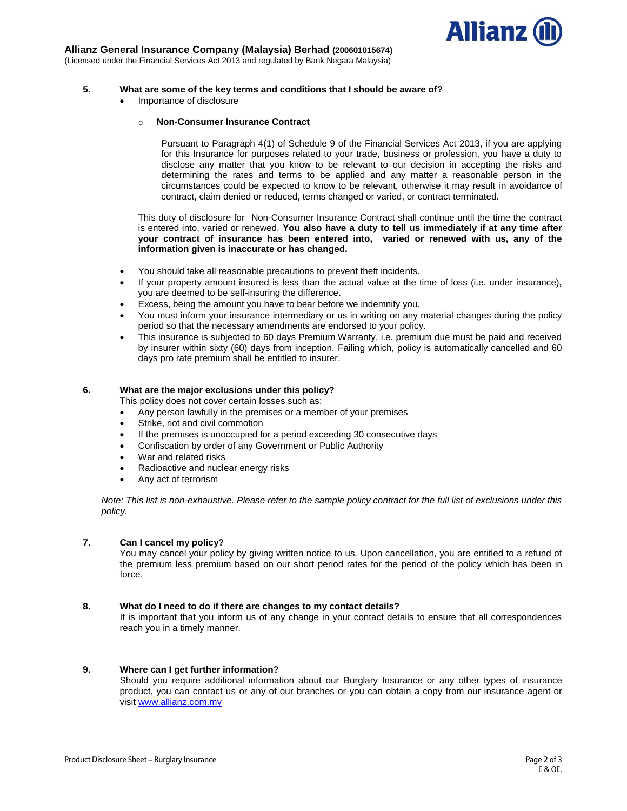

# **Allianz General Insurance Company (Malaysia) Berhad (200601015674)**

(Licensed under the Financial Services Act 2013 and regulated by Bank Negara Malaysia)

### **5. What are some of the key terms and conditions that I should be aware of?**

Importance of disclosure

#### o **Non-Consumer Insurance Contract**

Pursuant to Paragraph 4(1) of Schedule 9 of the Financial Services Act 2013, if you are applying for this Insurance for purposes related to your trade, business or profession, you have a duty to disclose any matter that you know to be relevant to our decision in accepting the risks and determining the rates and terms to be applied and any matter a reasonable person in the circumstances could be expected to know to be relevant, otherwise it may result in avoidance of contract, claim denied or reduced, terms changed or varied, or contract terminated.

This duty of disclosure for Non-Consumer Insurance Contract shall continue until the time the contract is entered into, varied or renewed. **You also have a duty to tell us immediately if at any time after your contract of insurance has been entered into, varied or renewed with us, any of the information given is inaccurate or has changed.**

- You should take all reasonable precautions to prevent theft incidents.
- If your property amount insured is less than the actual value at the time of loss (i.e. under insurance), you are deemed to be self-insuring the difference.
- Excess, being the amount you have to bear before we indemnify you.
- You must inform your insurance intermediary or us in writing on any material changes during the policy period so that the necessary amendments are endorsed to your policy.
- This insurance is subjected to 60 days Premium Warranty, i.e. premium due must be paid and received by insurer within sixty (60) days from inception. Failing which, policy is automatically cancelled and 60 days pro rate premium shall be entitled to insurer.

### **6. What are the major exclusions under this policy?**

This policy does not cover certain losses such as:

- Any person lawfully in the premises or a member of your premises
- Strike, riot and civil commotion
- If the premises is unoccupied for a period exceeding 30 consecutive days
- Confiscation by order of any Government or Public Authority
- War and related risks
- Radioactive and nuclear energy risks
- Any act of terrorism

*Note: This list is non-exhaustive. Please refer to the sample policy contract for the full list of exclusions under this policy.* 

# **7. Can I cancel my policy?**

You may cancel your policy by giving written notice to us. Upon cancellation, you are entitled to a refund of the premium less premium based on our short period rates for the period of the policy which has been in force.

# **8. What do I need to do if there are changes to my contact details?**

It is important that you inform us of any change in your contact details to ensure that all correspondences reach you in a timely manner.

# **9. Where can I get further information?**

Should you require additional information about our Burglary Insurance or any other types of insurance product, you can contact us or any of our branches or you can obtain a copy from our insurance agent or visit [www.allianz.com.my](http://www.allianz.com.my/)